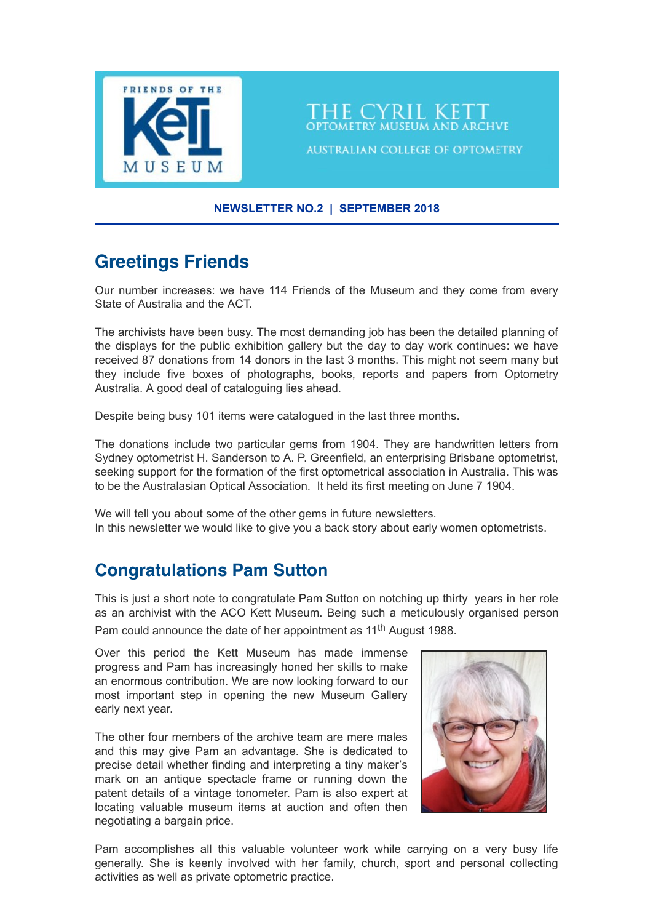

**NEWSLETTER NO.2 | SEPTEMBER 2018**

'HE CYRIL KET

**AUSTRALIAN COLLEGE OF OPTOMETRY** 

# **Greetings Friends**

Our number increases: we have 114 Friends of the Museum and they come from every State of Australia and the ACT.

The archivists have been busy. The most demanding job has been the detailed planning of the displays for the public exhibition gallery but the day to day work continues: we have received 87 donations from 14 donors in the last 3 months. This might not seem many but they include five boxes of photographs, books, reports and papers from Optometry Australia. A good deal of cataloguing lies ahead.

Despite being busy 101 items were catalogued in the last three months.

The donations include two particular gems from 1904. They are handwritten letters from Sydney optometrist H. Sanderson to A. P. Greenfield, an enterprising Brisbane optometrist, seeking support for the formation of the first optometrical association in Australia. This was to be the Australasian Optical Association. It held its first meeting on June 7 1904.

We will tell you about some of the other gems in future newsletters. In this newsletter we would like to give you a back story about early women optometrists.

## **Congratulations Pam Sutton**

This is just a short note to congratulate Pam Sutton on notching up thirty years in her role as an archivist with the ACO Kett Museum. Being such a meticulously organised person Pam could announce the date of her appointment as 11<sup>th</sup> August 1988.

Over this period the Kett Museum has made immense progress and Pam has increasingly honed her skills to make an enormous contribution. We are now looking forward to our most important step in opening the new Museum Gallery early next year.

The other four members of the archive team are mere males and this may give Pam an advantage. She is dedicated to precise detail whether finding and interpreting a tiny maker's mark on an antique spectacle frame or running down the patent details of a vintage tonometer. Pam is also expert at locating valuable museum items at auction and often then negotiating a bargain price.



Pam accomplishes all this valuable volunteer work while carrying on a very busy life generally. She is keenly involved with her family, church, sport and personal collecting activities as well as private optometric practice.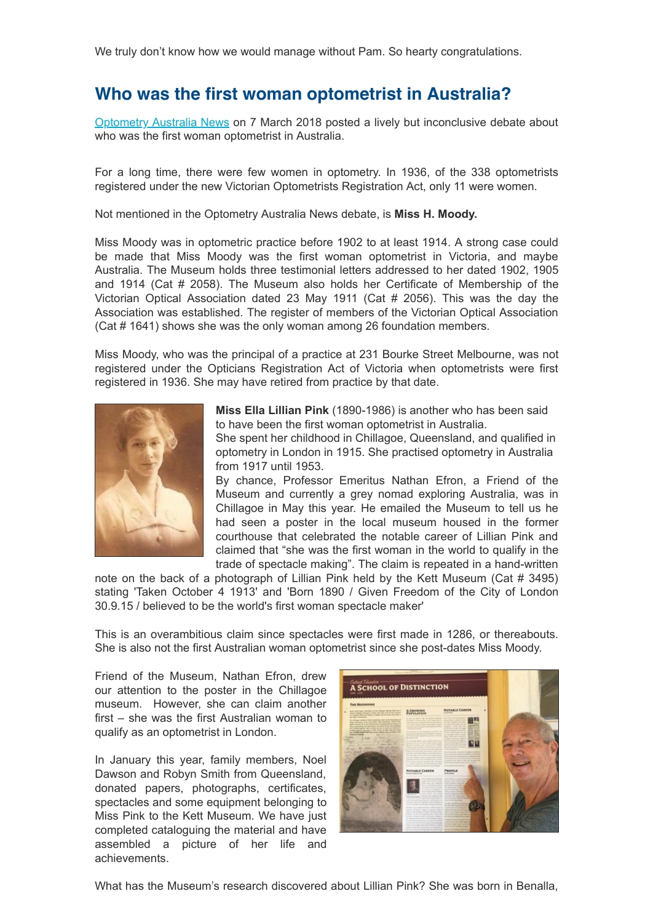### **Who was the first woman optometrist in Australia?**

[Optometry Australia News](http://www.optometry.org.au/blog-news/2018/3/7/women-in-optometry/) on 7 March 2018 posted a lively but inconclusive debate about who was the first woman optometrist in Australia.

For a long time, there were few women in optometry. In 1936, of the 338 optometrists registered under the new Victorian Optometrists Registration Act, only 11 were women.

Not mentioned in the Optometry Australia News debate, is **Miss H. Moody.**

Miss Moody was in optometric practice before 1902 to at least 1914. A strong case could be made that Miss Moody was the first woman optometrist in Victoria, and maybe Australia. The Museum holds three testimonial letters addressed to her dated 1902, 1905 and 1914 (Cat # 2058). The Museum also holds her Certificate of Membership of the Victorian Optical Association dated 23 May 1911 (Cat # 2056). This was the day the Association was established. The register of members of the Victorian Optical Association (Cat # 1641) shows she was the only woman among 26 foundation members.

Miss Moody, who was the principal of a practice at 231 Bourke Street Melbourne, was not registered under the Opticians Registration Act of Victoria when optometrists were first registered in 1936. She may have retired from practice by that date.



**Miss Ella Lillian Pink** (1890-1986) is another who has been said to have been the first woman optometrist in Australia.

She spent her childhood in Chillagoe, Queensland, and qualified in optometry in London in 1915. She practised optometry in Australia from 1917 until 1953.

By chance, Professor Emeritus Nathan Efron, a Friend of the Museum and currently a grey nomad exploring Australia, was in Chillagoe in May this year. He emailed the Museum to tell us he had seen a poster in the local museum housed in the former courthouse that celebrated the notable career of Lillian Pink and claimed that "she was the first woman in the world to qualify in the trade of spectacle making". The claim is repeated in a hand-written

note on the back of a photograph of Lillian Pink held by the Kett Museum (Cat # 3495) stating 'Taken October 4 1913' and 'Born 1890 / Given Freedom of the City of London 30.9.15 / believed to be the world's first woman spectacle maker'

This is an overambitious claim since spectacles were first made in 1286, or thereabouts. She is also not the first Australian woman optometrist since she post-dates Miss Moody.

Friend of the Museum, Nathan Efron, drew our attention to the poster in the Chillagoe museum. However, she can claim another first – she was the first Australian woman to qualify as an optometrist in London.

In January this year, family members, Noel Dawson and Robyn Smith from Queensland, donated papers, photographs, certificates, spectacles and some equipment belonging to Miss Pink to the Kett Museum. We have just completed cataloguing the material and have assembled a picture of her life and achievements.



What has the Museum's research discovered about Lillian Pink? She was born in Benalla,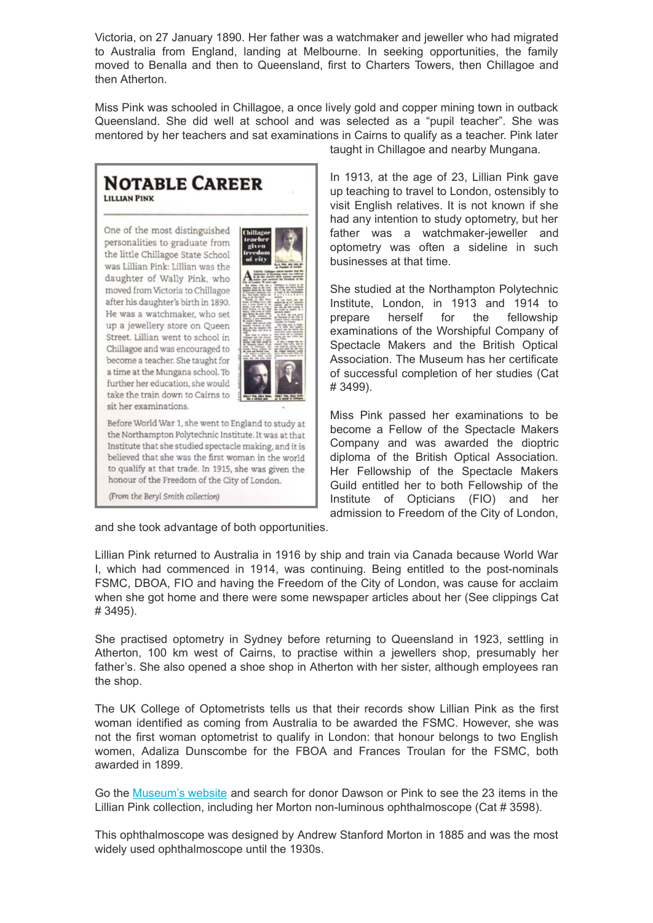Victoria, on 27 January 1890. Her father was a watchmaker and jeweller who had migrated to Australia from England, landing at Melbourne. In seeking opportunities, the family moved to Benalla and then to Queensland, first to Charters Towers, then Chillagoe and then Atherton.

Miss Pink was schooled in Chillagoe, a once lively gold and copper mining town in outback Queensland. She did well at school and was selected as a "pupil teacher". She was mentored by her teachers and sat examinations in Cairns to qualify as a teacher. Pink later

#### **NOTABLE CAREER LILLIAN PINK**

One of the most distinguished personalities to graduate from the little Chillagoe State School was Lillian Pink: Lillian was the daughter of Wally Pink, who moved from Victoria to Chillagoe after his daughter's birth in 1890. He was a watchmaker, who set up a jewellery store on Queen Street. Lillian went to school in Chillagoe and was encouraged to become a teacher. She taught for a time at the Mungana school. To further her education, she would take the train down to Cairns to sit her examinations.



Before World War 1, she went to England to study at the Northampton Polytechnic Institute. It was at that Institute that she studied spectacle making, and it is believed that she was the first woman in the world to qualify at that trade. In 1915, she was given the honour of the Freedom of the City of London.

(From the Beryl Smith collection)

taught in Chillagoe and nearby Mungana.

In 1913, at the age of 23, Lillian Pink gave up teaching to travel to London, ostensibly to visit English relatives. It is not known if she had any intention to study optometry, but her father was a watchmaker-jeweller and optometry was often a sideline in such businesses at that time.

She studied at the Northampton Polytechnic Institute, London, in 1913 and 1914 to prepare herself for the fellowship examinations of the Worshipful Company of Spectacle Makers and the British Optical Association. The Museum has her certificate of successful completion of her studies (Cat # 3499).

Miss Pink passed her examinations to be become a Fellow of the Spectacle Makers Company and was awarded the dioptric diploma of the British Optical Association. Her Fellowship of the Spectacle Makers Guild entitled her to both Fellowship of the Institute of Opticians (FIO) and her admission to Freedom of the City of London,

and she took advantage of both opportunities.

Lillian Pink returned to Australia in 1916 by ship and train via Canada because World War I, which had commenced in 1914, was continuing. Being entitled to the post-nominals FSMC, DBOA, FIO and having the Freedom of the City of London, was cause for acclaim when she got home and there were some newspaper articles about her (See clippings Cat # 3495).

She practised optometry in Sydney before returning to Queensland in 1923, settling in Atherton, 100 km west of Cairns, to practise within a jewellers shop, presumably her father's. She also opened a shoe shop in Atherton with her sister, although employees ran the shop.

The UK College of Optometrists tells us that their records show Lillian Pink as the first woman identified as coming from Australia to be awarded the FSMC. However, she was not the first woman optometrist to qualify in London: that honour belongs to two English women, Adaliza Dunscombe for the FBOA and Frances Troulan for the FSMC, both awarded in 1899.

Go the [Museum's website](https://museum.aco.org.au/) and search for donor Dawson or Pink to see the 23 items in the Lillian Pink collection, including her Morton non-luminous ophthalmoscope (Cat # 3598).

This ophthalmoscope was designed by Andrew Stanford Morton in 1885 and was the most widely used ophthalmoscope until the 1930s.